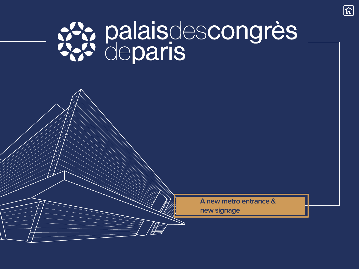# SS: palaisdescongrès

**A new metro entrance & new signage**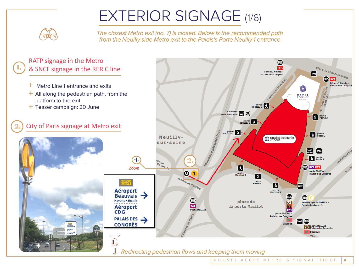# EXTERIOR SIGNAGE (1/6)



*The closest Metro exit (no. 7) is closed. Below is the recommended path from the Neuilly side Metro exit to the Palais's Porte Neuilly 1 entrance*

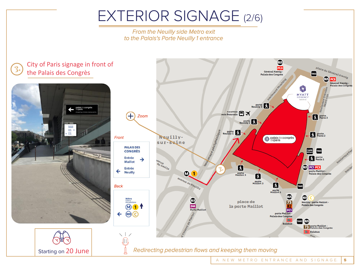## EXTERIOR SIGNAGE (2/6)

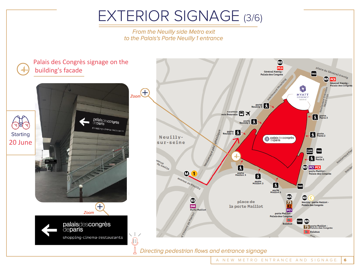## EXTERIOR SIGNAGE (3/6)

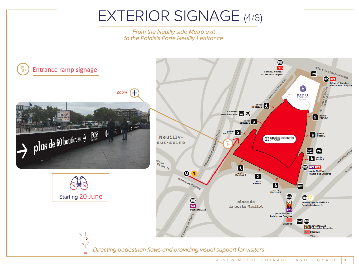## EXTERIOR SIGNAGE (4/6)

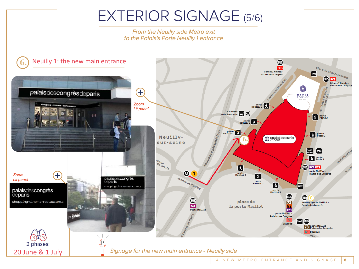#### EXTERIOR SIGNAGE (5/6)